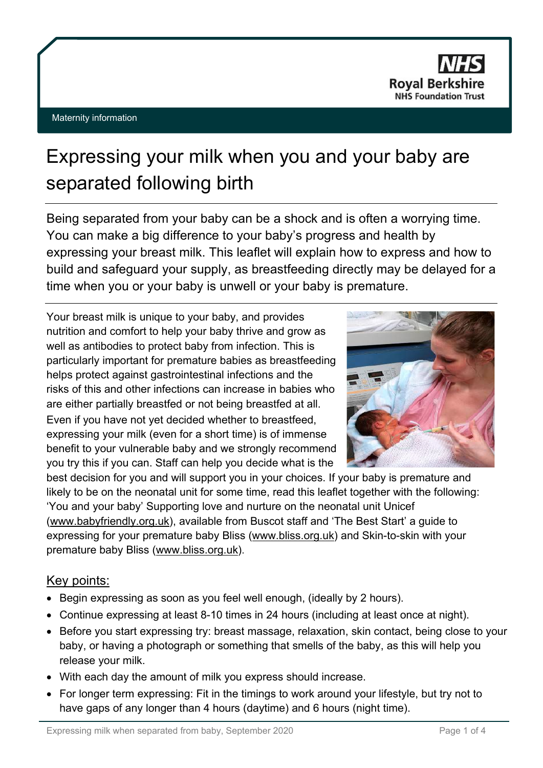

#### Maternity information

# Expressing your milk when you and your baby are separated following birth

Being separated from your baby can be a shock and is often a worrying time. You can make a big difference to your baby's progress and health by expressing your breast milk. This leaflet will explain how to express and how to build and safeguard your supply, as breastfeeding directly may be delayed for a time when you or your baby is unwell or your baby is premature.

Your breast milk is unique to your baby, and provides nutrition and comfort to help your baby thrive and grow as well as antibodies to protect baby from infection. This is particularly important for premature babies as breastfeeding helps protect against gastrointestinal infections and the risks of this and other infections can increase in babies who are either partially breastfed or not being breastfed at all. Even if you have not yet decided whether to breastfeed, expressing your milk (even for a short time) is of immense benefit to your vulnerable baby and we strongly recommend you try this if you can. Staff can help you decide what is the



best decision for you and will support you in your choices. If your baby is premature and likely to be on the neonatal unit for some time, read this leaflet together with the following: 'You and your baby' Supporting love and nurture on the neonatal unit Unicef [\(www.babyfriendly.org.uk\)](http://www.babyfriendly.org.uk/), available from Buscot staff and 'The Best Start' a guide to expressing for your premature baby Bliss [\(www.bliss.org.uk\)](http://www.bliss.org.uk/) and Skin-to-skin with your premature baby Bliss [\(www.bliss.org.uk\)](http://www.bliss.org.uk/).

## Key points:

- Begin expressing as soon as you feel well enough, (ideally by 2 hours).
- Continue expressing at least 8-10 times in 24 hours (including at least once at night).
- Before you start expressing try: breast massage, relaxation, skin contact, being close to your baby, or having a photograph or something that smells of the baby, as this will help you release your milk.
- With each day the amount of milk you express should increase.
- For longer term expressing: Fit in the timings to work around your lifestyle, but try not to have gaps of any longer than 4 hours (daytime) and 6 hours (night time).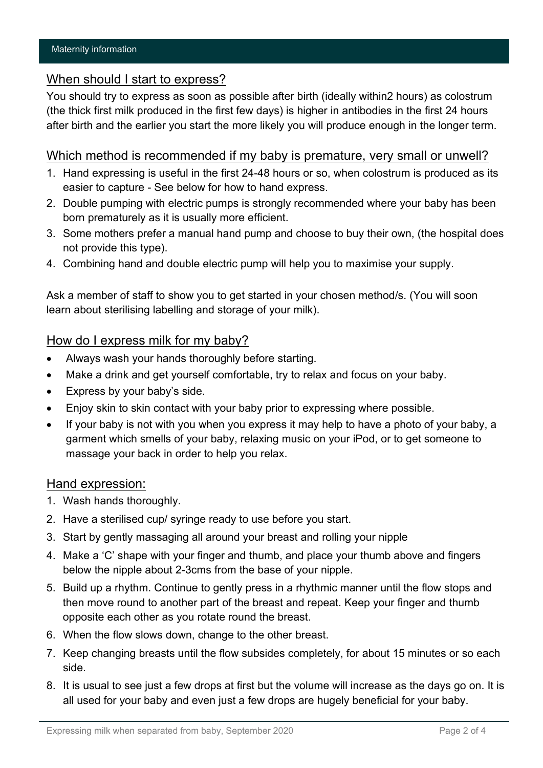## When should I start to express?

You should try to express as soon as possible after birth (ideally within2 hours) as colostrum (the thick first milk produced in the first few days) is higher in antibodies in the first 24 hours after birth and the earlier you start the more likely you will produce enough in the longer term.

### Which method is recommended if my baby is premature, very small or unwell?

- 1. Hand expressing is useful in the first 24-48 hours or so, when colostrum is produced as its easier to capture - See below for how to hand express.
- 2. Double pumping with electric pumps is strongly recommended where your baby has been born prematurely as it is usually more efficient.
- 3. Some mothers prefer a manual hand pump and choose to buy their own, (the hospital does not provide this type).
- 4. Combining hand and double electric pump will help you to maximise your supply.

Ask a member of staff to show you to get started in your chosen method/s. (You will soon learn about sterilising labelling and storage of your milk).

### How do I express milk for my baby?

- Always wash your hands thoroughly before starting.
- Make a drink and get yourself comfortable, try to relax and focus on your baby.
- Express by your baby's side.
- Enjoy skin to skin contact with your baby prior to expressing where possible.
- If your baby is not with you when you express it may help to have a photo of your baby, a garment which smells of your baby, relaxing music on your iPod, or to get someone to massage your back in order to help you relax.

#### Hand expression:

- 1. Wash hands thoroughly.
- 2. Have a sterilised cup/ syringe ready to use before you start.
- 3. Start by gently massaging all around your breast and rolling your nipple
- 4. Make a 'C' shape with your finger and thumb, and place your thumb above and fingers below the nipple about 2-3cms from the base of your nipple.
- 5. Build up a rhythm. Continue to gently press in a rhythmic manner until the flow stops and then move round to another part of the breast and repeat. Keep your finger and thumb opposite each other as you rotate round the breast.
- 6. When the flow slows down, change to the other breast.
- 7. Keep changing breasts until the flow subsides completely, for about 15 minutes or so each side.
- 8. It is usual to see just a few drops at first but the volume will increase as the days go on. It is all used for your baby and even just a few drops are hugely beneficial for your baby.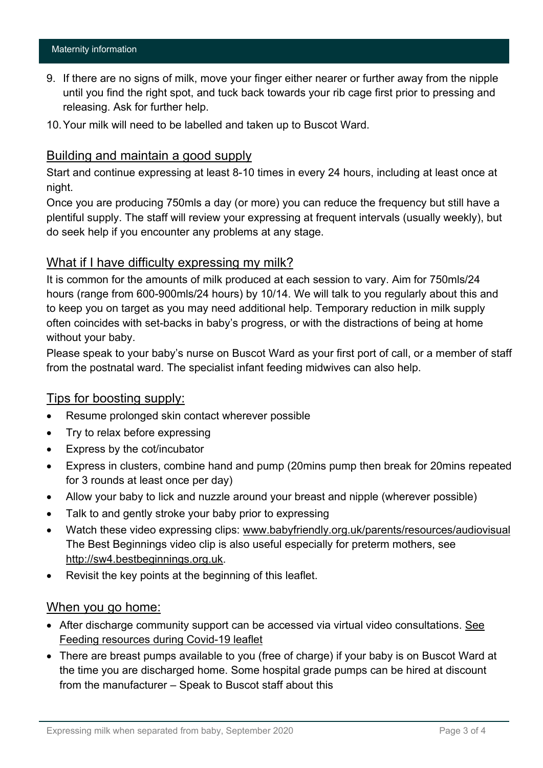- 9. If there are no signs of milk, move your finger either nearer or further away from the nipple until you find the right spot, and tuck back towards your rib cage first prior to pressing and releasing. Ask for further help.
- 10.Your milk will need to be labelled and taken up to Buscot Ward.

## Building and maintain a good supply

Start and continue expressing at least 8-10 times in every 24 hours, including at least once at night.

Once you are producing 750mls a day (or more) you can reduce the frequency but still have a plentiful supply. The staff will review your expressing at frequent intervals (usually weekly), but do seek help if you encounter any problems at any stage.

## What if I have difficulty expressing my milk?

It is common for the amounts of milk produced at each session to vary. Aim for 750mls/24 hours (range from 600-900mls/24 hours) by 10/14. We will talk to you regularly about this and to keep you on target as you may need additional help. Temporary reduction in milk supply often coincides with set-backs in baby's progress, or with the distractions of being at home without your baby.

Please speak to your baby's nurse on Buscot Ward as your first port of call, or a member of staff from the postnatal ward. The specialist infant feeding midwives can also help.

### Tips for boosting supply:

- Resume prolonged skin contact wherever possible
- Try to relax before expressing
- Express by the cot/incubator
- Express in clusters, combine hand and pump (20mins pump then break for 20mins repeated for 3 rounds at least once per day)
- Allow your baby to lick and nuzzle around your breast and nipple (wherever possible)
- Talk to and gently stroke your baby prior to expressing
- Watch these video expressing clips: [www.babyfriendly.org.uk/parents/resources/audiovisual](http://www.babyfriendly.org.uk/parents/resources/audiovisual) The Best Beginnings video clip is also useful especially for preterm mothers, see [http://sw4.bestbeginnings.org.uk.](http://sw4.bestbeginnings.org.uk/)
- Revisit the key points at the beginning of this leaflet.

### When you go home:

- After discharge community support can be accessed via virtual video consultations. See Feeding resources during Covid-19 leaflet
- There are breast pumps available to you (free of charge) if your baby is on Buscot Ward at the time you are discharged home. Some hospital grade pumps can be hired at discount from the manufacturer – Speak to Buscot staff about this